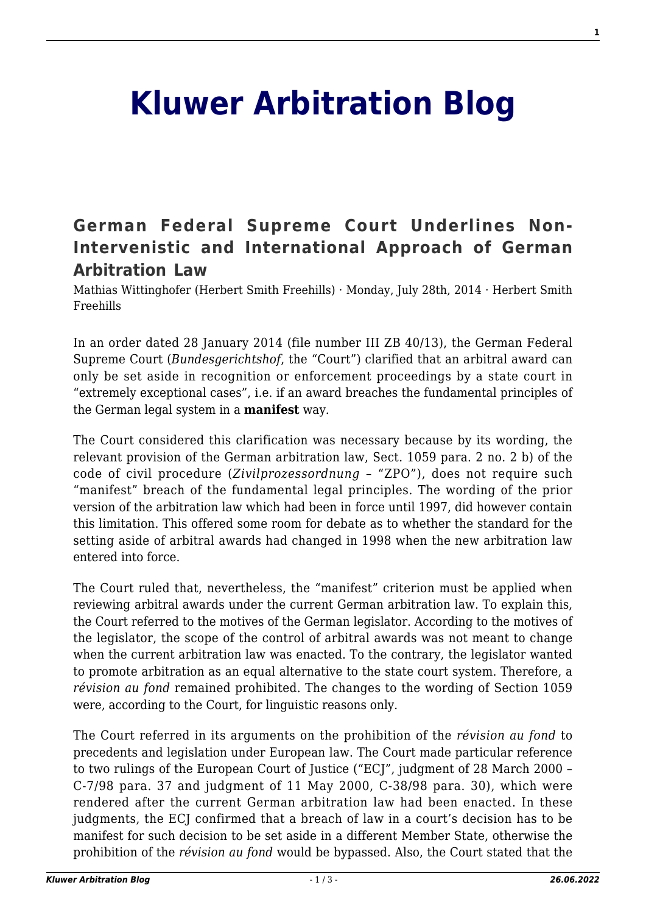## **[Kluwer Arbitration Blog](http://arbitrationblog.kluwerarbitration.com/)**

## **[German Federal Supreme Court Underlines Non-](http://arbitrationblog.kluwerarbitration.com/2014/07/28/german-federal-supreme-court-underlines-non-intervenistic-and-international-approach-of-german-arbitration-law/)[Intervenistic and International Approach of German](http://arbitrationblog.kluwerarbitration.com/2014/07/28/german-federal-supreme-court-underlines-non-intervenistic-and-international-approach-of-german-arbitration-law/) [Arbitration Law](http://arbitrationblog.kluwerarbitration.com/2014/07/28/german-federal-supreme-court-underlines-non-intervenistic-and-international-approach-of-german-arbitration-law/)**

Mathias Wittinghofer (Herbert Smith Freehills) · Monday, July 28th, 2014 · Herbert Smith Freehills

In an order dated 28 January 2014 (file number III ZB 40/13), the German Federal Supreme Court (*Bundesgerichtshof*, the "Court") clarified that an arbitral award can only be set aside in recognition or enforcement proceedings by a state court in "extremely exceptional cases", i.e. if an award breaches the fundamental principles of the German legal system in a **manifest** way.

The Court considered this clarification was necessary because by its wording, the relevant provision of the German arbitration law, Sect. 1059 para. 2 no. 2 b) of the code of civil procedure (*Zivilprozessordnung* – "ZPO"), does not require such "manifest" breach of the fundamental legal principles. The wording of the prior version of the arbitration law which had been in force until 1997, did however contain this limitation. This offered some room for debate as to whether the standard for the setting aside of arbitral awards had changed in 1998 when the new arbitration law entered into force.

The Court ruled that, nevertheless, the "manifest" criterion must be applied when reviewing arbitral awards under the current German arbitration law. To explain this, the Court referred to the motives of the German legislator. According to the motives of the legislator, the scope of the control of arbitral awards was not meant to change when the current arbitration law was enacted. To the contrary, the legislator wanted to promote arbitration as an equal alternative to the state court system. Therefore, a *révision au fond* remained prohibited. The changes to the wording of Section 1059 were, according to the Court, for linguistic reasons only.

The Court referred in its arguments on the prohibition of the *révision au fond* to precedents and legislation under European law. The Court made particular reference to two rulings of the European Court of Justice ("ECJ", judgment of 28 March 2000 – C-7/98 para. 37 and judgment of 11 May 2000, C-38/98 para. 30), which were rendered after the current German arbitration law had been enacted. In these judgments, the ECI confirmed that a breach of law in a court's decision has to be manifest for such decision to be set aside in a different Member State, otherwise the prohibition of the *révision au fond* would be bypassed. Also, the Court stated that the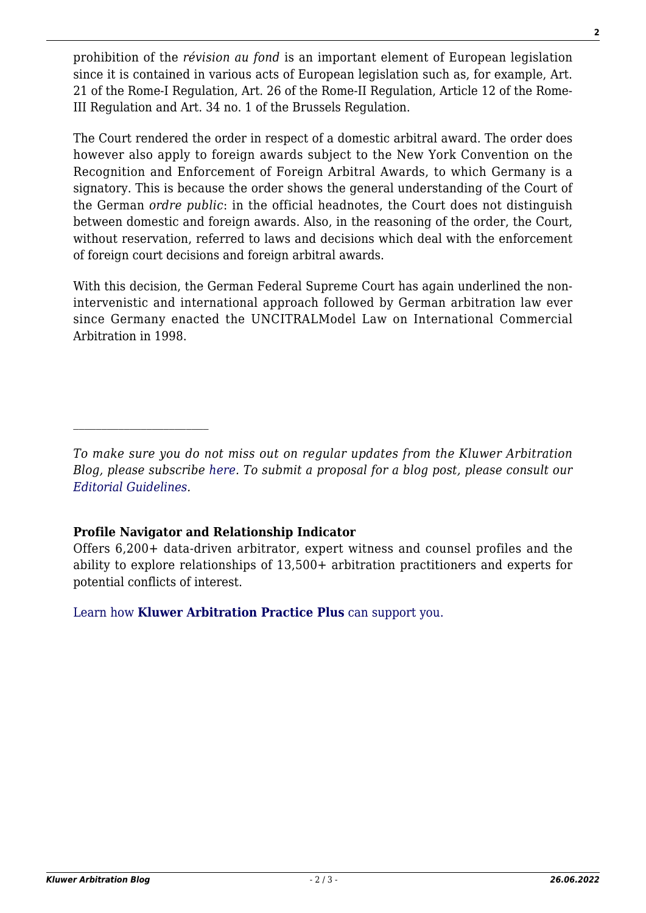prohibition of the *révision au fond* is an important element of European legislation since it is contained in various acts of European legislation such as, for example, Art. 21 of the Rome-I Regulation, Art. 26 of the Rome-II Regulation, Article 12 of the Rome-III Regulation and Art. 34 no. 1 of the Brussels Regulation.

The Court rendered the order in respect of a domestic arbitral award. The order does however also apply to foreign awards subject to the New York Convention on the Recognition and Enforcement of Foreign Arbitral Awards, to which Germany is a signatory. This is because the order shows the general understanding of the Court of the German *ordre public*: in the official headnotes, the Court does not distinguish between domestic and foreign awards. Also, in the reasoning of the order, the Court, without reservation, referred to laws and decisions which deal with the enforcement of foreign court decisions and foreign arbitral awards.

With this decision, the German Federal Supreme Court has again underlined the nonintervenistic and international approach followed by German arbitration law ever since Germany enacted the UNCITRALModel Law on International Commercial Arbitration in 1998.

## **Profile Navigator and Relationship Indicator**

Offers 6,200+ data-driven arbitrator, expert witness and counsel profiles and the ability to explore relationships of 13,500+ arbitration practitioners and experts for potential conflicts of interest.

[Learn how](https://www.wolterskluwer.com/en/solutions/kluwerarbitration/practiceplus?utm_source=arbitrationblog&utm_medium=articleCTA&utm_campaign=article-banner) **[Kluwer Arbitration Practice Plus](https://www.wolterskluwer.com/en/solutions/kluwerarbitration/practiceplus?utm_source=arbitrationblog&utm_medium=articleCTA&utm_campaign=article-banner)** [can support you.](https://www.wolterskluwer.com/en/solutions/kluwerarbitration/practiceplus?utm_source=arbitrationblog&utm_medium=articleCTA&utm_campaign=article-banner)

*To make sure you do not miss out on regular updates from the Kluwer Arbitration Blog, please subscribe [here](http://arbitrationblog.kluwerarbitration.com/newsletter/). To submit a proposal for a blog post, please consult our [Editorial Guidelines.](http://arbitrationblog.kluwerarbitration.com/editorial-guidelines/)*